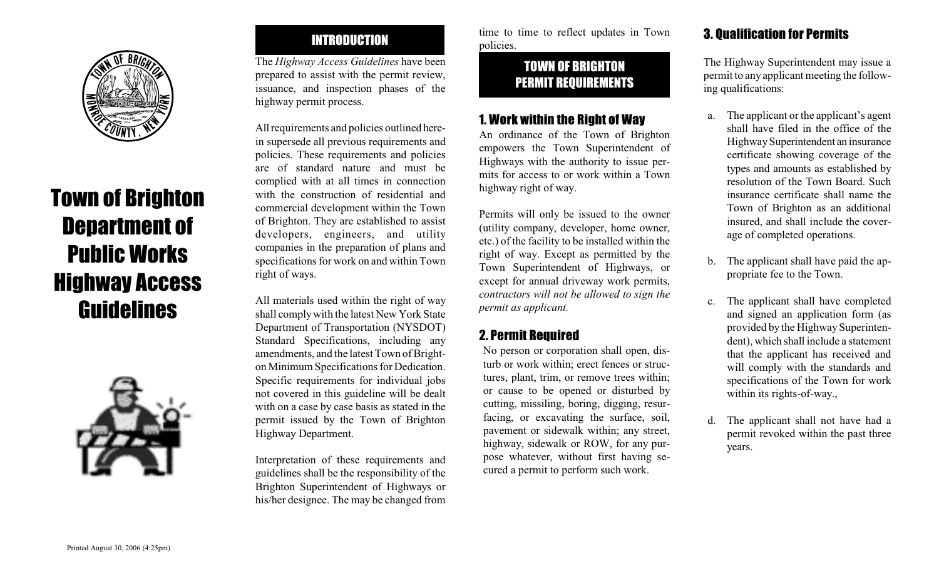

# Town of Brighton Department of Public Works Highway Access Guidelines



## INTRODUCTION

The *Highway Access Guidelines* have been prepared to assist with the permit review, issuance, and inspection phases of the highway permit process.

All requirements and policies outlined herein supersede all previous requirements and policies. These requirements and policies are of standard nature and must be complied with at all times in connection with the construction of residential and commercial development within the Town of Brighton. They are established to assist developers, engineers, and utility companies in the preparation of plans and specifications for work on and within Town right of ways.

All materials used within the right of way shall comply with the latest New York State Department of Transportation (NYSDOT) Standard Specifications, including any amendments, and the latest Town of Brighton Minimum Specifications for Dedication. Specific requirements for individual jobs not covered in this guideline will be dealt with on a case by case basis as stated in the permit issued by the Town of Brighton Highway Department.

Interpretation of these requirements and guidelines shall be the responsibility of the Brighton Superintendent of Highways or his/her designee. The may be changed from

time to time to reflect updates in Town policies.

## TOWN OF BRIGHTON PERMIT REQUIREMENTS

#### 1. Work within the Right of Way

An ordinance of the Town of Brighton empowers the Town Superintendent of Highways with the authority to issue permits for access to or work within a Town highway right of way.

Permits will only be issued to the owner (utility company, developer, home owner, etc.) of the facility to be installed within the right of way. Except as permitted by the Town Superintendent of Highways, or except for annual driveway work permits, *contractors will not be allowed to sign the permit as applicant.*

## 2. Permit Required

No person or corporation shall open, disturb or work within; erect fences or structures, plant, trim, or remove trees within; or cause to be opened or disturbed by cutting, missiling, boring, digging, resurfacing, or excavating the surface, soil, pavement or sidewalk within; any street, highway, sidewalk or ROW, for any purpose whatever, without first having secured a permit to perform such work.

## 3. Qualification for Permits

The Highway Superintendent may issue a permit to any applicant meeting the following qualifications:

- a. The applicant or the applicant's agent shall have filed in the office of the Highway Superintendent an insurance certificate showing coverage of the types and amounts as established by resolution of the Town Board. Such insurance certificate shall name the Town of Brighton as an additional insured, and shall include the coverage of completed operations.
- b. The applicant shall have paid the appropriate fee to the Town.
- c. The applicant shall have completed and signed an application form (as provided by the Highway Superintendent), which shall include a statement that the applicant has received and will comply with the standards and specifications of the Town for work within its rights-of-way.,
- d. The applicant shall not have had a permit revoked within the past three years.